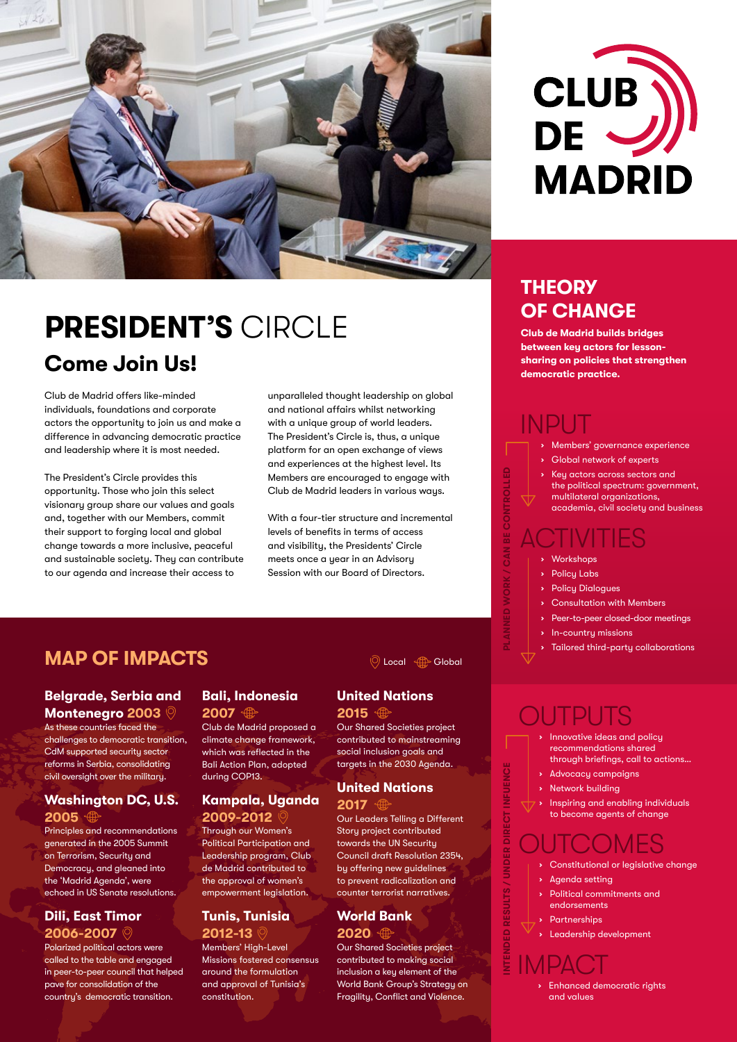



# **Come Join Us! Sharing on policies that strengthen come Join Us! PRESIDENT'S** CIRCLE

Club de Madrid offers like-minded individuals, foundations and corporate actors the opportunity to join us and make a difference in advancing democratic practice and leadership where it is most needed.

The President's Circle provides this opportunity. Those who join this select visionary group share our values and goals and, together with our Members, commit their support to forging local and global change towards a more inclusive, peaceful and sustainable society. They can contribute to our agenda and increase their access to

unparalleled thought leadership on global and national affairs whilst networking with a unique group of world leaders. The President's Circle is, thus, a unique platform for an open exchange of views and experiences at the highest level. Its Members are encouraged to engage with Club de Madrid leaders in various ways.

With a four-tier structure and incremental levels of benefits in terms of access and visibility, the Presidents' Circle meets once a year in an Advisory Session with our Board of Directors.

## **MAP OF IMPACTS**

### **Belgrade, Serbia and Montenegro 2003**

As these countries faced the challenges to democratic transition, CdM supported security sector reforms in Serbia, consolidating civil oversight over the military.

### **Washington DC, U.S. 2005**

Principles and recommendations generated in the 2005 Summit on Terrorism, Security and Democracy, and gleaned into the 'Madrid Agenda', were echoed in US Senate resolutions.

### **Dili, East Timor 2006-2007**

Polarized political actors were called to the table and engaged in peer-to-peer council that helped pave for consolidation of the country's democratic transition.

## **Bali, Indonesia**

**2007**

Club de Madrid proposed a climate change framework, which was reflected in the Bali Action Plan, adopted during COP13.

# **Kampala, Uganda**

**2009-2012** Through our Women's Political Participation and Leadership program, Club de Madrid contributed to the approval of women's empowerment legislation.

## **Tunis, Tunisia**

**2012-13**

Members' High-Level Missions fostered consensus around the formulation and approval of Tunisia's constitution.

### **O** Local **Reduction**

## **United Nations**

**2015**

Our Shared Societies project contributed to mainstreaming social inclusion goals and targets in the 2030 Agenda.

#### **United Nations 2017**

Our Leaders Telling a Different Story project contributed towards the UN Security Council draft Resolution 2354, by offering new guidelines to prevent radicalization and counter terrorist narratives.

### **World Bank**

**2020**

Our Shared Societies project contributed to making social inclusion a key element of the World Bank Group's Strategy on Fragility, Conflict and Violence.

## **THEORY OF CHANGE**

**Club de Madrid builds bridges between key actors for lesson-**

# INPUT

- **›** Members' governance experience
- **›** Global network of experts
- **›** Key actors across sectors and the political spectrum: government, multilateral organizations, academia, civil society and business

# ACTIVITIES

**›** Workshops

**PLANNED WORK / CAN BE CONTROLLED**

- **›** Policy Labs
- **›** Policy Dialogues
- **›** Consultation with Members
- **›** Peer-to-peer closed-door meetings
- **›** In-country missions
- **›** Tailored third-party collaborations

# OUTPUTS

- **›** Innovative ideas and policy recommendations shared through briefings, call to actions…
- **›** Advocacy campaigns
- **›** Network building
- **›** Inspiring and enabling individuals to become agents of change

# **OUTCOMES**

- **›** Constitutional or legislative change
- **›** Agenda setting

**INTENDED RESULTS / UNDER DIRECT INFUENCE**

- **›** Political commitments and endorsements
- **›** Partnerships
- **›** Leadership development

IMPACT **Enhanced democratic rights** and values